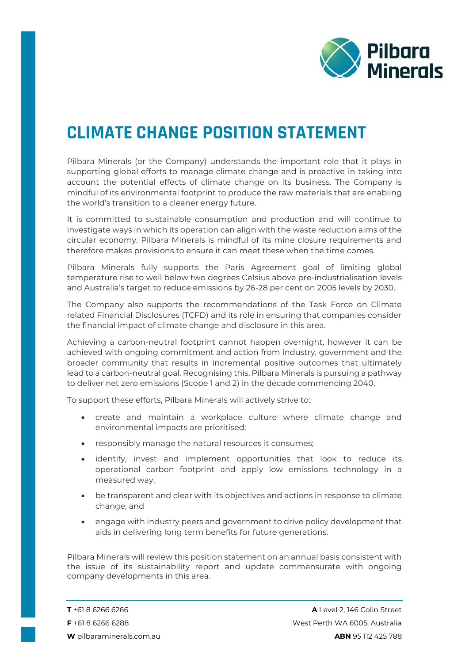

## **CLIMATE CHANGE POSITION STATEMENT**

Pilbara Minerals (or the Company) understands the important role that it plays in supporting global efforts to manage climate change and is proactive in taking into account the potential effects of climate change on its business. The Company is mindful of its environmental footprint to produce the raw materials that are enabling the world's transition to a cleaner energy future.

It is committed to sustainable consumption and production and will continue to investigate ways in which its operation can align with the waste reduction aims of the circular economy. Pilbara Minerals is mindful of its mine closure requirements and therefore makes provisions to ensure it can meet these when the time comes.

Pilbara Minerals fully supports the Paris Agreement goal of limiting global temperature rise to well below two degrees Celsius above pre-industrialisation levels and Australia's target to reduce emissions by 26-28 per cent on 2005 levels by 2030.

The Company also supports the recommendations of the Task Force on Climate related Financial Disclosures (TCFD) and its role in ensuring that companies consider the financial impact of climate change and disclosure in this area.

Achieving a carbon-neutral footprint cannot happen overnight, however it can be achieved with ongoing commitment and action from industry, government and the broader community that results in incremental positive outcomes that ultimately lead to a carbon-neutral goal. Recognising this, Pilbara Minerals is pursuing a pathway to deliver net zero emissions (Scope 1 and 2) in the decade commencing 2040.

To support these efforts, Pilbara Minerals will actively strive to:

- create and maintain a workplace culture where climate change and environmental impacts are prioritised;
- responsibly manage the natural resources it consumes;
- identify, invest and implement opportunities that look to reduce its operational carbon footprint and apply low emissions technology in a measured way;
- be transparent and clear with its objectives and actions in response to climate change; and
- engage with industry peers and government to drive policy development that aids in delivering long term benefits for future generations.

Pilbara Minerals will review this position statement on an annual basis consistent with the issue of its sustainability report and update commensurate with ongoing company developments in this area.